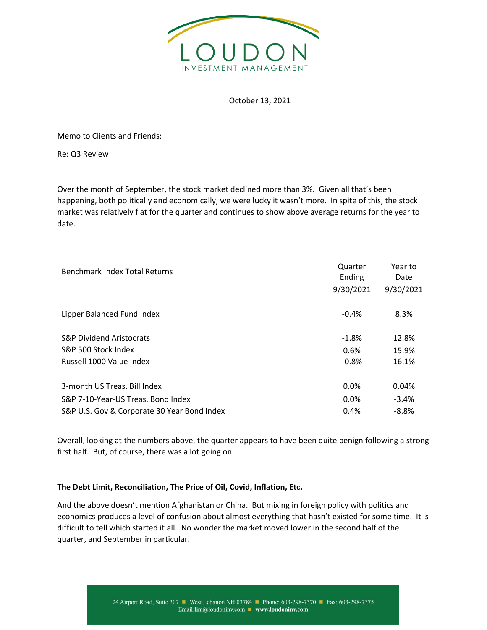

October 13, 2021

Memo to Clients and Friends:

Re: Q3 Review

Over the month of September, the stock market declined more than 3%. Given all that's been happening, both politically and economically, we were lucky it wasn't more. In spite of this, the stock market was relatively flat for the quarter and continues to show above average returns for the year to date.

| <b>Benchmark Index Total Returns</b>        | Quarter<br>Ending | Year to<br>Date |
|---------------------------------------------|-------------------|-----------------|
|                                             | 9/30/2021         | 9/30/2021       |
|                                             |                   |                 |
| Lipper Balanced Fund Index                  | $-0.4%$           | 8.3%            |
|                                             |                   |                 |
| <b>S&amp;P Dividend Aristocrats</b>         | $-1.8%$           | 12.8%           |
| S&P 500 Stock Index                         | 0.6%              | 15.9%           |
| Russell 1000 Value Index                    | $-0.8%$           | 16.1%           |
|                                             |                   |                 |
| 3-month US Treas. Bill Index                | 0.0%              | 0.04%           |
| S&P 7-10-Year-US Treas. Bond Index          | $0.0\%$           | $-3.4%$         |
| S&P U.S. Gov & Corporate 30 Year Bond Index | 0.4%              | $-8.8%$         |

Overall, looking at the numbers above, the quarter appears to have been quite benign following a strong first half. But, of course, there was a lot going on.

## **The Debt Limit, Reconciliation, The Price of Oil, Covid, Inflation, Etc.**

And the above doesn't mention Afghanistan or China. But mixing in foreign policy with politics and economics produces a level of confusion about almost everything that hasn't existed for some time. It is difficult to tell which started it all. No wonder the market moved lower in the second half of the quarter, and September in particular.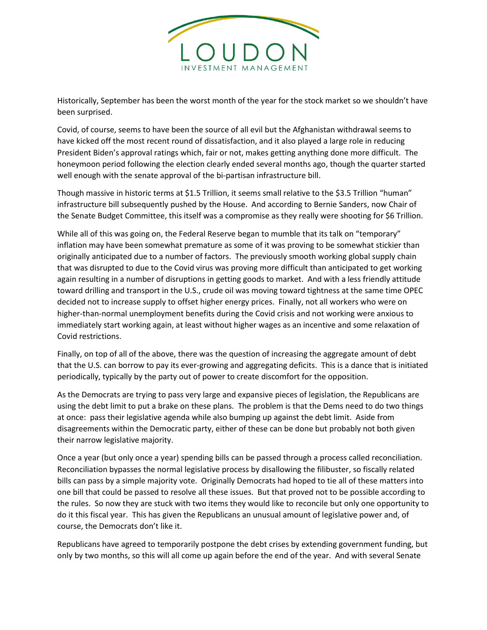

Historically, September has been the worst month of the year for the stock market so we shouldn't have been surprised.

Covid, of course, seems to have been the source of all evil but the Afghanistan withdrawal seems to have kicked off the most recent round of dissatisfaction, and it also played a large role in reducing President Biden's approval ratings which, fair or not, makes getting anything done more difficult. The honeymoon period following the election clearly ended several months ago, though the quarter started well enough with the senate approval of the bi-partisan infrastructure bill.

Though massive in historic terms at \$1.5 Trillion, it seems small relative to the \$3.5 Trillion "human" infrastructure bill subsequently pushed by the House. And according to Bernie Sanders, now Chair of the Senate Budget Committee, this itself was a compromise as they really were shooting for \$6 Trillion.

While all of this was going on, the Federal Reserve began to mumble that its talk on "temporary" inflation may have been somewhat premature as some of it was proving to be somewhat stickier than originally anticipated due to a number of factors. The previously smooth working global supply chain that was disrupted to due to the Covid virus was proving more difficult than anticipated to get working again resulting in a number of disruptions in getting goods to market. And with a less friendly attitude toward drilling and transport in the U.S., crude oil was moving toward tightness at the same time OPEC decided not to increase supply to offset higher energy prices. Finally, not all workers who were on higher-than-normal unemployment benefits during the Covid crisis and not working were anxious to immediately start working again, at least without higher wages as an incentive and some relaxation of Covid restrictions.

Finally, on top of all of the above, there was the question of increasing the aggregate amount of debt that the U.S. can borrow to pay its ever-growing and aggregating deficits. This is a dance that is initiated periodically, typically by the party out of power to create discomfort for the opposition.

As the Democrats are trying to pass very large and expansive pieces of legislation, the Republicans are using the debt limit to put a brake on these plans. The problem is that the Dems need to do two things at once: pass their legislative agenda while also bumping up against the debt limit. Aside from disagreements within the Democratic party, either of these can be done but probably not both given their narrow legislative majority.

Once a year (but only once a year) spending bills can be passed through a process called reconciliation. Reconciliation bypasses the normal legislative process by disallowing the filibuster, so fiscally related bills can pass by a simple majority vote. Originally Democrats had hoped to tie all of these matters into one bill that could be passed to resolve all these issues. But that proved not to be possible according to the rules. So now they are stuck with two items they would like to reconcile but only one opportunity to do it this fiscal year. This has given the Republicans an unusual amount of legislative power and, of course, the Democrats don't like it.

Republicans have agreed to temporarily postpone the debt crises by extending government funding, but only by two months, so this will all come up again before the end of the year. And with several Senate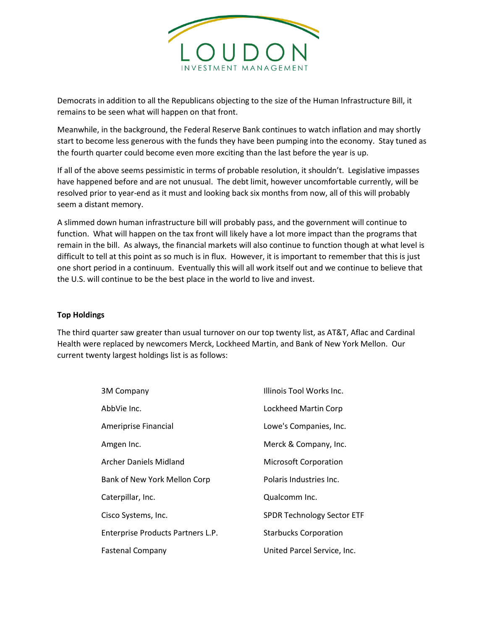

Democrats in addition to all the Republicans objecting to the size of the Human Infrastructure Bill, it remains to be seen what will happen on that front.

Meanwhile, in the background, the Federal Reserve Bank continues to watch inflation and may shortly start to become less generous with the funds they have been pumping into the economy. Stay tuned as the fourth quarter could become even more exciting than the last before the year is up.

If all of the above seems pessimistic in terms of probable resolution, it shouldn't. Legislative impasses have happened before and are not unusual. The debt limit, however uncomfortable currently, will be resolved prior to year-end as it must and looking back six months from now, all of this will probably seem a distant memory.

A slimmed down human infrastructure bill will probably pass, and the government will continue to function. What will happen on the tax front will likely have a lot more impact than the programs that remain in the bill. As always, the financial markets will also continue to function though at what level is difficult to tell at this point as so much is in flux. However, it is important to remember that this is just one short period in a continuum. Eventually this will all work itself out and we continue to believe that the U.S. will continue to be the best place in the world to live and invest.

## **Top Holdings**

The third quarter saw greater than usual turnover on our top twenty list, as AT&T, Aflac and Cardinal Health were replaced by newcomers Merck, Lockheed Martin, and Bank of New York Mellon. Our current twenty largest holdings list is as follows:

| <b>3M Company</b>                 | Illinois Tool Works Inc.          |
|-----------------------------------|-----------------------------------|
| AbbVie Inc.                       | Lockheed Martin Corp              |
| Ameriprise Financial              | Lowe's Companies, Inc.            |
| Amgen Inc.                        | Merck & Company, Inc.             |
| Archer Daniels Midland            | <b>Microsoft Corporation</b>      |
| Bank of New York Mellon Corp      | Polaris Industries Inc.           |
| Caterpillar, Inc.                 | Qualcomm Inc.                     |
| Cisco Systems, Inc.               | <b>SPDR Technology Sector ETF</b> |
| Enterprise Products Partners L.P. | <b>Starbucks Corporation</b>      |
| <b>Fastenal Company</b>           | United Parcel Service, Inc.       |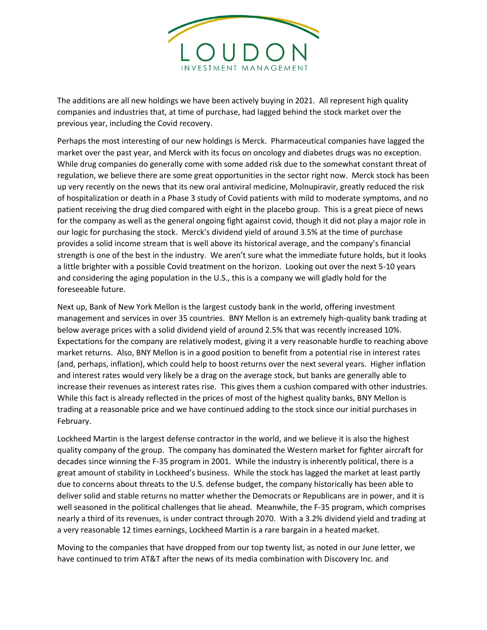

The additions are all new holdings we have been actively buying in 2021. All represent high quality companies and industries that, at time of purchase, had lagged behind the stock market over the previous year, including the Covid recovery.

Perhaps the most interesting of our new holdings is Merck. Pharmaceutical companies have lagged the market over the past year, and Merck with its focus on oncology and diabetes drugs was no exception. While drug companies do generally come with some added risk due to the somewhat constant threat of regulation, we believe there are some great opportunities in the sector right now. Merck stock has been up very recently on the news that its new oral antiviral medicine, Molnupiravir, greatly reduced the risk of hospitalization or death in a Phase 3 study of Covid patients with mild to moderate symptoms, and no patient receiving the drug died compared with eight in the placebo group. This is a great piece of news for the company as well as the general ongoing fight against covid, though it did not play a major role in our logic for purchasing the stock. Merck's dividend yield of around 3.5% at the time of purchase provides a solid income stream that is well above its historical average, and the company's financial strength is one of the best in the industry. We aren't sure what the immediate future holds, but it looks a little brighter with a possible Covid treatment on the horizon. Looking out over the next 5-10 years and considering the aging population in the U.S., this is a company we will gladly hold for the foreseeable future.

Next up, Bank of New York Mellon is the largest custody bank in the world, offering investment management and services in over 35 countries. BNY Mellon is an extremely high-quality bank trading at below average prices with a solid dividend yield of around 2.5% that was recently increased 10%. Expectations for the company are relatively modest, giving it a very reasonable hurdle to reaching above market returns. Also, BNY Mellon is in a good position to benefit from a potential rise in interest rates (and, perhaps, inflation), which could help to boost returns over the next several years. Higher inflation and interest rates would very likely be a drag on the average stock, but banks are generally able to increase their revenues as interest rates rise. This gives them a cushion compared with other industries. While this fact is already reflected in the prices of most of the highest quality banks, BNY Mellon is trading at a reasonable price and we have continued adding to the stock since our initial purchases in February.

Lockheed Martin is the largest defense contractor in the world, and we believe it is also the highest quality company of the group. The company has dominated the Western market for fighter aircraft for decades since winning the F-35 program in 2001. While the industry is inherently political, there is a great amount of stability in Lockheed's business. While the stock has lagged the market at least partly due to concerns about threats to the U.S. defense budget, the company historically has been able to deliver solid and stable returns no matter whether the Democrats or Republicans are in power, and it is well seasoned in the political challenges that lie ahead. Meanwhile, the F-35 program, which comprises nearly a third of its revenues, is under contract through 2070. With a 3.2% dividend yield and trading at a very reasonable 12 times earnings, Lockheed Martin is a rare bargain in a heated market.

Moving to the companies that have dropped from our top twenty list, as noted in our June letter, we have continued to trim AT&T after the news of its media combination with Discovery Inc. and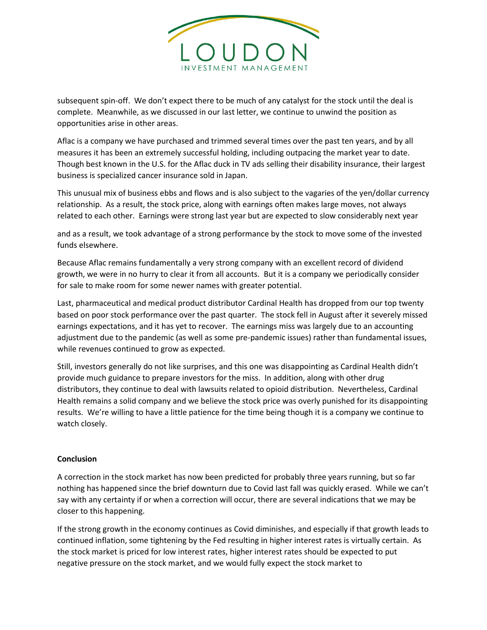

subsequent spin-off. We don't expect there to be much of any catalyst for the stock until the deal is complete. Meanwhile, as we discussed in our last letter, we continue to unwind the position as opportunities arise in other areas.

Aflac is a company we have purchased and trimmed several times over the past ten years, and by all measures it has been an extremely successful holding, including outpacing the market year to date. Though best known in the U.S. for the Aflac duck in TV ads selling their disability insurance, their largest business is specialized cancer insurance sold in Japan.

This unusual mix of business ebbs and flows and is also subject to the vagaries of the yen/dollar currency relationship. As a result, the stock price, along with earnings often makes large moves, not always related to each other. Earnings were strong last year but are expected to slow considerably next year

and as a result, we took advantage of a strong performance by the stock to move some of the invested funds elsewhere.

Because Aflac remains fundamentally a very strong company with an excellent record of dividend growth, we were in no hurry to clear it from all accounts. But it is a company we periodically consider for sale to make room for some newer names with greater potential.

Last, pharmaceutical and medical product distributor Cardinal Health has dropped from our top twenty based on poor stock performance over the past quarter. The stock fell in August after it severely missed earnings expectations, and it has yet to recover. The earnings miss was largely due to an accounting adjustment due to the pandemic (as well as some pre-pandemic issues) rather than fundamental issues, while revenues continued to grow as expected.

Still, investors generally do not like surprises, and this one was disappointing as Cardinal Health didn't provide much guidance to prepare investors for the miss. In addition, along with other drug distributors, they continue to deal with lawsuits related to opioid distribution. Nevertheless, Cardinal Health remains a solid company and we believe the stock price was overly punished for its disappointing results. We're willing to have a little patience for the time being though it is a company we continue to watch closely.

## **Conclusion**

A correction in the stock market has now been predicted for probably three years running, but so far nothing has happened since the brief downturn due to Covid last fall was quickly erased. While we can't say with any certainty if or when a correction will occur, there are several indications that we may be closer to this happening.

If the strong growth in the economy continues as Covid diminishes, and especially if that growth leads to continued inflation, some tightening by the Fed resulting in higher interest rates is virtually certain. As the stock market is priced for low interest rates, higher interest rates should be expected to put negative pressure on the stock market, and we would fully expect the stock market to